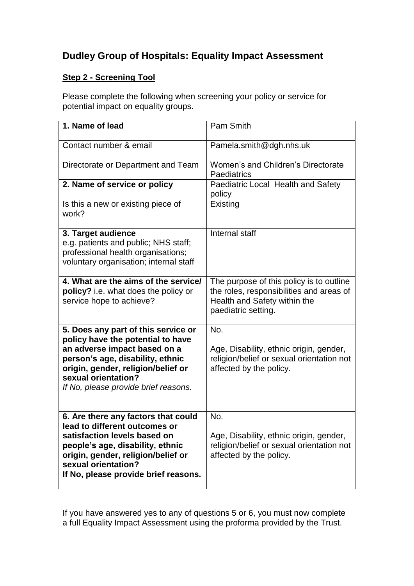## **Dudley Group of Hospitals: Equality Impact Assessment**

## **Step 2 - Screening Tool**

Please complete the following when screening your policy or service for potential impact on equality groups.

| 1. Name of lead                                                                                                                                                                                                                                   | Pam Smith                                                                                                                                   |
|---------------------------------------------------------------------------------------------------------------------------------------------------------------------------------------------------------------------------------------------------|---------------------------------------------------------------------------------------------------------------------------------------------|
| Contact number & email                                                                                                                                                                                                                            | Pamela.smith@dgh.nhs.uk                                                                                                                     |
| Directorate or Department and Team                                                                                                                                                                                                                | Women's and Children's Directorate<br>Paediatrics                                                                                           |
| 2. Name of service or policy                                                                                                                                                                                                                      | Paediatric Local Health and Safety<br>policy                                                                                                |
| Is this a new or existing piece of<br>work?                                                                                                                                                                                                       | Existing                                                                                                                                    |
| 3. Target audience<br>e.g. patients and public; NHS staff;<br>professional health organisations;<br>voluntary organisation; internal staff                                                                                                        | Internal staff                                                                                                                              |
| 4. What are the aims of the service/<br>policy? i.e. what does the policy or<br>service hope to achieve?                                                                                                                                          | The purpose of this policy is to outline<br>the roles, responsibilities and areas of<br>Health and Safety within the<br>paediatric setting. |
| 5. Does any part of this service or<br>policy have the potential to have<br>an adverse impact based on a<br>person's age, disability, ethnic<br>origin, gender, religion/belief or<br>sexual orientation?<br>If No, please provide brief reasons. | No.<br>Age, Disability, ethnic origin, gender,<br>religion/belief or sexual orientation not<br>affected by the policy.                      |
| 6. Are there any factors that could<br>lead to different outcomes or<br>satisfaction levels based on<br>people's age, disability, ethnic<br>origin, gender, religion/belief or<br>sexual orientation?<br>If No, please provide brief reasons.     | No.<br>Age, Disability, ethnic origin, gender,<br>religion/belief or sexual orientation not<br>affected by the policy.                      |

If you have answered yes to any of questions 5 or 6, you must now complete a full Equality Impact Assessment using the proforma provided by the Trust.